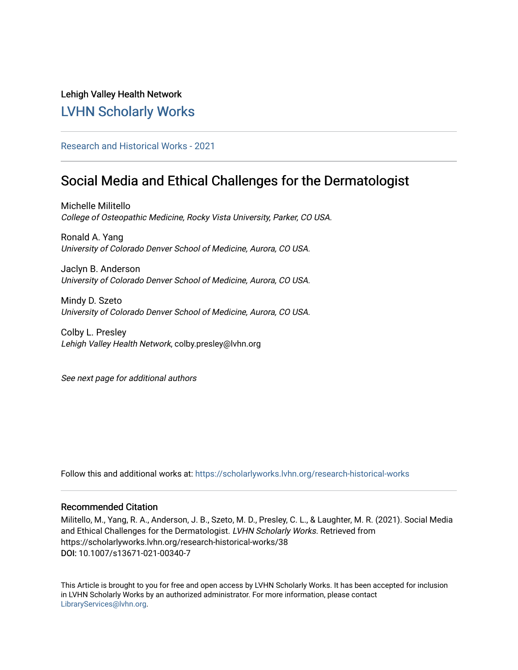# Lehigh Valley Health Network [LVHN Scholarly Works](https://scholarlyworks.lvhn.org/)

## [Research and Historical Works - 2021](https://scholarlyworks.lvhn.org/research-historical-works)

# Social Media and Ethical Challenges for the Dermatologist

Michelle Militello College of Osteopathic Medicine, Rocky Vista University, Parker, CO USA.

Ronald A. Yang University of Colorado Denver School of Medicine, Aurora, CO USA.

Jaclyn B. Anderson University of Colorado Denver School of Medicine, Aurora, CO USA.

Mindy D. Szeto University of Colorado Denver School of Medicine, Aurora, CO USA.

Colby L. Presley Lehigh Valley Health Network, colby.presley@lvhn.org

See next page for additional authors

Follow this and additional works at: [https://scholarlyworks.lvhn.org/research-historical-works](https://scholarlyworks.lvhn.org/research-historical-works?utm_source=scholarlyworks.lvhn.org%2Fresearch-historical-works%2F38&utm_medium=PDF&utm_campaign=PDFCoverPages)

### Recommended Citation

Militello, M., Yang, R. A., Anderson, J. B., Szeto, M. D., Presley, C. L., & Laughter, M. R. (2021). Social Media and Ethical Challenges for the Dermatologist. LVHN Scholarly Works. Retrieved from https://scholarlyworks.lvhn.org/research-historical-works/38 DOI: 10.1007/s13671-021-00340-7

This Article is brought to you for free and open access by LVHN Scholarly Works. It has been accepted for inclusion in LVHN Scholarly Works by an authorized administrator. For more information, please contact [LibraryServices@lvhn.org](mailto:LibraryServices@lvhn.org).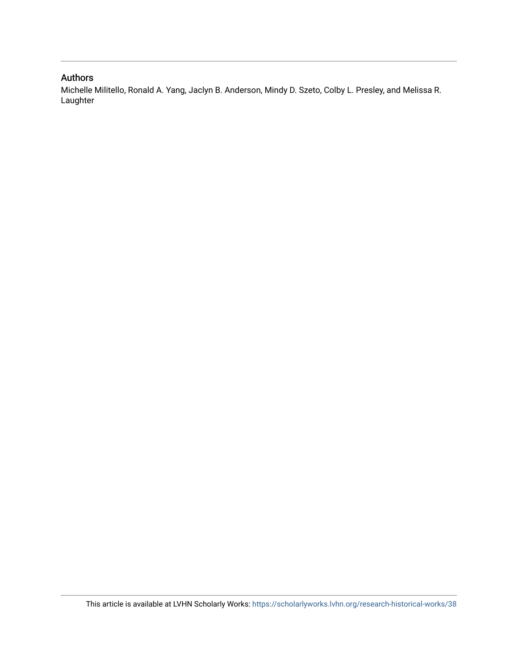### Authors

Michelle Militello, Ronald A. Yang, Jaclyn B. Anderson, Mindy D. Szeto, Colby L. Presley, and Melissa R. Laughter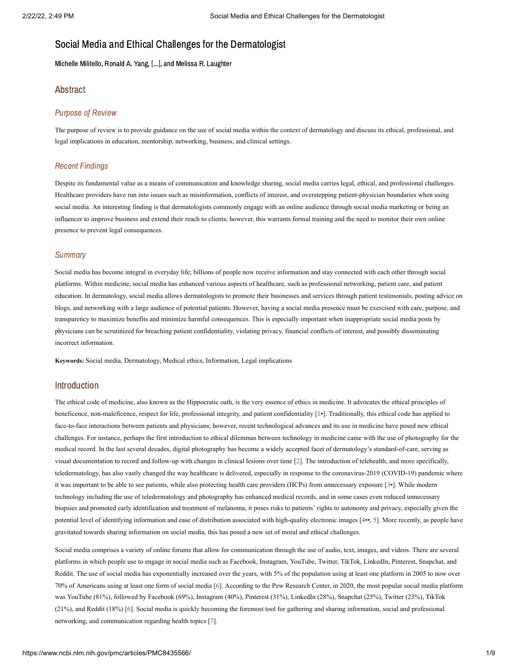## Social Media and Ethical Challenges for the Dermatologist

Michelle Militello, Ronald A. Yang, [...], and Melissa R. Laughter

### Abstract

### Purpose of Review

The purpose of review is to provide guidance on the use of social media within the context of dermatology and discuss its ethical, professional, and legal implications in education, mentorship, networking, business, and clinical settings.

### Recent Findings

Despite its fundamental value as a means of communication and knowledge sharing, social media carries legal, ethical, and professional challenges. Healthcare providers have run into issues such as misinformation, conflicts of interest, and overstepping patient-physician boundaries when using social media. An interesting finding is that dermatologists commonly engage with an online audience through social media marketing or being an influencer to improve business and extend their reach to clients; however, this warrants formal training and the need to monitor their own online presence to prevent legal consequences.

### **Summary**

Social media has become integral in everyday life; billions of people now receive information and stay connected with each other through social platforms. Within medicine, social media has enhanced various aspects of healthcare, such as professional networking, patient care, and patient education. In dermatology, social media allows dermatologists to promote their businesses and services through patient testimonials, posting advice on blogs, and networking with a large audience of potential patients. However, having a social media presence must be exercised with care, purpose, and transparency to maximize benefits and minimize harmful consequences. This is especially important when inappropriate social media posts by physicians can be scrutinized for breaching patient confidentiality, violating privacy, financial conflicts of interest, and possibly disseminating incorrect information.

**Keywords:** Social media, Dermatology, Medical ethics, Information, Legal implications

### Introduction

The ethical code of medicine, also known as the Hippocratic oath, is the very essence of ethics in medicine. It advocates the ethical principles of beneficence, non-maleficence, respect for life, professional integrity, and patient confidentiality [[1](#page-7-0)•]. Traditionally, this ethical code has applied to face-to-face interactions between patients and physicians; however, recent technological advances and its use in medicine have posed new ethical challenges. For instance, perhaps the first introduction to ethical dilemmas between technology in medicine came with the use of photography for the medical record. In the last several decades, digital photography has become a widely accepted facet of dermatology's standard-of-care, serving as visual documentation to record and follow-up with changes in clinical lesions over time [\[2](#page-7-1)]. The introduction of telehealth, and more specifically, teledermatology, has also vastly changed the way healthcare is delivered, especially in response to the coronavirus-2019 (COVID-19) pandemic where it was important to be able to see patients, while also protecting health care providers (HCPs) from unnecessary exposure [\[3•](#page-7-2)]. While modern technology including the use of teledermatology and photography has enhanced medical records, and in some cases even reduced unnecessary biopsies and promoted early identification and treatment of melanoma, it poses risks to patients' rights to autonomy and privacy, especially given the potential level of identifying information and ease of distribution associated with high-quality electronic images [[4•](#page-7-3)•, [5](#page-7-4)]. More recently, as people have gravitated towards sharing information on social media, this has posed a new set of moral and ethical challenges.

Social media comprises a variety of online forums that allow for communication through the use of audio, text, images, and videos. There are several platforms in which people use to engage in social media such as Facebook, Instagram, YouTube, Twitter, TikTok, LinkedIn, Pinterest, Snapchat, and Reddit. The use of social media has exponentially increased over the years, with 5% of the population using at least one platform in 2005 to now over 70% of Americans using at least one form of social media [[6](#page-7-5)]. According to the Pew Research Center, in 2020, the most popular social media platform was YouTube (81%), followed by Facebook (69%), Instagram (40%), Pinterest (31%), LinkedIn (28%), Snapchat (25%), Twitter (23%), TikTok (21%), and Reddit (18%) [\[6](#page-7-5)]. Social media is quickly becoming the foremost tool for gathering and sharing information, social and professional networking, and communication regarding health topics [[7](#page-7-6)].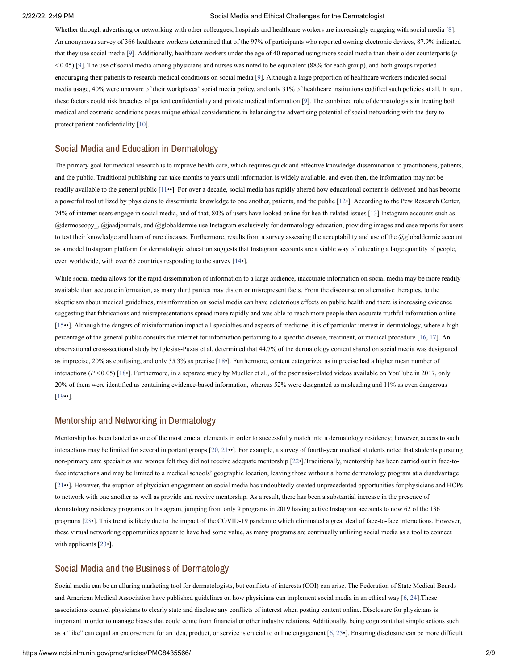Whether through advertising or networking with other colleagues, hospitals and healthcare workers are increasingly engaging with social media [\[8](#page-7-7)]. An anonymous survey of 366 healthcare workers determined that of the 97% of participants who reported owning electronic devices, 87.9% indicated that they use social media [\[9](#page-7-8)]. Additionally, healthcare workers under the age of 40 reported using more social media than their older counterparts (*p* < 0.05) [[9](#page-7-8)]. The use of social media among physicians and nurses was noted to be equivalent (88% for each group), and both groups reported encouraging their patients to research medical conditions on social media [\[9](#page-7-8)]. Although a large proportion of healthcare workers indicated social media usage, 40% were unaware of their workplaces' social media policy, and only 31% of healthcare institutions codified such policies at all. In sum, these factors could risk breaches of patient confidentiality and private medical information [\[9\]](#page-7-8). The combined role of dermatologists in treating both medical and cosmetic conditions poses unique ethical considerations in balancing the advertising potential of social networking with the duty to protect patient confidentiality [\[10](#page-7-9)].

### Social Media and Education in Dermatology

The primary goal for medical research is to improve health care, which requires quick and effective knowledge dissemination to practitioners, patients, and the public. Traditional publishing can take months to years until information is widely available, and even then, the information may not be readily available to the general public [\[11•](#page-7-10)•]. For over a decade, social media has rapidly altered how educational content is delivered and has become a powerful tool utilized by physicians to disseminate knowledge to one another, patients, and the public [[12](#page-7-11)•]. According to the Pew Research Center, 74% of internet users engage in social media, and of that, 80% of users have looked online for health-related issues [[13\]](#page-7-12).Instagram accounts such as @dermoscopy\_, @jaadjournals, and @globaldermie use Instagram exclusively for dermatology education, providing images and case reports for users to test their knowledge and learn of rare diseases. Furthermore, results from a survey assessing the acceptability and use of the @globaldermie account as a model Instagram platform for dermatologic education suggests that Instagram accounts are a viable way of educating a large quantity of people, even worldwide, with over 65 countries responding to the survey [\[14•](#page-8-0)].

While social media allows for the rapid dissemination of information to a large audience, inaccurate information on social media may be more readily available than accurate information, as many third parties may distort or misrepresent facts. From the discourse on alternative therapies, to the skepticism about medical guidelines, misinformation on social media can have deleterious effects on public health and there is increasing evidence suggesting that fabrications and misrepresentations spread more rapidly and was able to reach more people than accurate truthful information online [[15•](#page-8-1)•]. Although the dangers of misinformation impact all specialties and aspects of medicine, it is of particular interest in dermatology, where a high percentage of the general public consults the internet for information pertaining to a specific disease, treatment, or medical procedure [[16,](#page-8-2) [17\]](#page-8-3). An observational cross-sectional study by Iglesias-Puzas et al. determined that 44.7% of the dermatology content shared on social media was designated as imprecise, 20% as confusing, and only 35.3% as precise [[18•](#page-8-4)]. Furthermore, content categorized as imprecise had a higher mean number of interactions (*P* < 0.05) [[18•](#page-8-4)]. Furthermore, in a separate study by Mueller et al., of the psoriasis-related videos available on YouTube in 2017, only 20% of them were identified as containing evidence-based information, whereas 52% were designated as misleading and 11% as even dangerous [[19•](#page-8-5)•].

### Mentorship and Networking in Dermatology

Mentorship has been lauded as one of the most crucial elements in order to successfully match into a dermatology residency; however, access to such interactions may be limited for several important groups [[20,](#page-8-6) [21•](#page-8-7)•]. For example, a survey of fourth-year medical students noted that students pursuing non-primary care specialties and women felt they did not receive adequate mentorship [[22•](#page-8-8)].Traditionally, mentorship has been carried out in face-toface interactions and may be limited to a medical schools' geographic location, leaving those without a home dermatology program at a disadvantage [[21•](#page-8-7)•]. However, the eruption of physician engagement on social media has undoubtedly created unprecedented opportunities for physicians and HCPs to network with one another as well as provide and receive mentorship. As a result, there has been a substantial increase in the presence of dermatology residency programs on Instagram, jumping from only 9 programs in 2019 having active Instagram accounts to now 62 of the 136 programs [[23•](#page-8-9)]. This trend is likely due to the impact of the COVID-19 pandemic which eliminated a great deal of face-to-face interactions. However, these virtual networking opportunities appear to have had some value, as many programs are continually utilizing social media as a tool to connect with applicants [\[23•](#page-8-9)].

### Social Media and the Business of Dermatology

Social media can be an alluring marketing tool for dermatologists, but conflicts of interests (COI) can arise. The Federation of State Medical Boards and American Medical Association have published guidelines on how physicians can implement social media in an ethical way [\[6](#page-7-5), [24](#page-8-10)].These associations counsel physicians to clearly state and disclose any conflicts of interest when posting content online. Disclosure for physicians is important in order to manage biases that could come from financial or other industry relations. Additionally, being cognizant that simple actions such as a "like" can equal an endorsement for an idea, product, or service is crucial to online engagement [[6,](#page-7-5) [25•](#page-8-11)]. Ensuring disclosure can be more difficult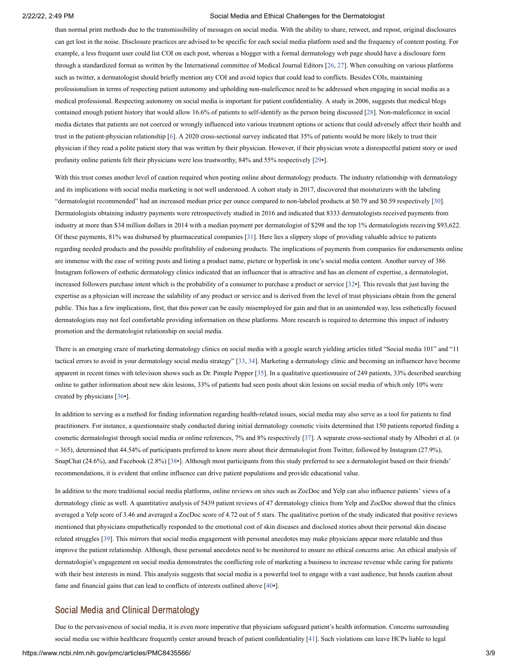than normal print methods due to the transmissibility of messages on social media. With the ability to share, retweet, and repost, original disclosures can get lost in the noise. Disclosure practices are advised to be specific for each social media platform used and the frequency of content posting. For example, a less frequent user could list COI on each post, whereas a blogger with a formal dermatology web page should have a disclosure form through a standardized format as written by the International committee of Medical Journal Editors [[26,](#page-8-12) [27\]](#page-8-13). When consulting on various platforms such as twitter, a dermatologist should briefly mention any COI and avoid topics that could lead to conflicts. Besides COIs, maintaining professionalism in terms of respecting patient autonomy and upholding non-maleficence need to be addressed when engaging in social media as a medical professional. Respecting autonomy on social media is important for patient confidentiality. A study in 2006, suggests that medical blogs contained enough patient history that would allow 16.6% of patients to self-identify as the person being discussed [\[28\]](#page-8-14). Non-maleficence in social media dictates that patients are not coerced or wrongly influenced into various treatment options or actions that could adversely affect their health and trust in the patient-physician relationship [[6](#page-7-5)]. A 2020 cross-sectional survey indicated that 35% of patients would be more likely to trust their physician if they read a polite patient story that was written by their physician. However, if their physician wrote a disrespectful patient story or used profanity online patients felt their physicians were less trustworthy, 84% and 55% respectively [\[29](#page-8-15)•].

With this trust comes another level of caution required when posting online about dermatology products. The industry relationship with dermatology and its implications with social media marketing is not well understood. A cohort study in 2017, discovered that moisturizers with the labeling "dermatologist recommended" had an increased median price per ounce compared to non-labeled products at \$0.79 and \$0.59 respectively [[30\]](#page-8-16). Dermatologists obtaining industry payments were retrospectively studied in 2016 and indicated that 8333 dermatologists received payments from industry at more than \$34 million dollars in 2014 with a median payment per dermatologist of \$298 and the top 1% dermatologists receiving \$93,622. Of these payments, 81% was disbursed by pharmaceutical companies [[31\]](#page-9-0). Here lies a slippery slope of providing valuable advice to patients regarding needed products and the possible profitability of endorsing products. The implications of payments from companies for endorsements online are immense with the ease of writing posts and listing a product name, picture or hyperlink in one's social media content. Another survey of 386 Instagram followers of esthetic dermatology clinics indicated that an influencer that is attractive and has an element of expertise, a dermatologist, increased followers purchase intent which is the probability of a consumer to purchase a product or service [[32•](#page-9-1)]. This reveals that just having the expertise as a physician will increase the salability of any product or service and is derived from the level of trust physicians obtain from the general public. This has a few implications, first, that this power can be easily misemployed for gain and that in an unintended way, less esthetically focused dermatologists may not feel comfortable providing information on these platforms. More research is required to determine this impact of industry promotion and the dermatologist relationship on social media.

There is an emerging craze of marketing dermatology clinics on social media with a google search yielding articles titled "Social media 101" and "11 tactical errors to avoid in your dermatology social media strategy" [[33,](#page-9-2) [34\]](#page-9-3). Marketing a dermatology clinic and becoming an influencer have become apparent in recent times with television shows such as Dr. Pimple Popper [\[35](#page-9-4)]. In a qualitative questionnaire of 249 patients, 33% described searching online to gather information about new skin lesions, 33% of patients had seen posts about skin lesions on social media of which only 10% were created by physicians [\[36•](#page-9-5)].

In addition to serving as a method for finding information regarding health-related issues, social media may also serve as a tool for patients to find practitioners. For instance, a questionnaire study conducted during initial dermatology cosmetic visits determined that 150 patients reported finding a cosmetic dermatologist through social media or online references, 7% and 8% respectively [\[37](#page-9-6)]. A separate cross-sectional study by Albeshri et al. (*n* = 365), determined that 44.54% of participants preferred to know more about their dermatologist from Twitter, followed by Instagram (27.9%), SnapChat (24.6%), and Facebook (2.8%) [[38](#page-9-7)•]. Although most participants from this study preferred to see a dermatologist based on their friends' recommendations, it is evident that online influence can drive patient populations and provide educational value.

In addition to the more traditional social media platforms, online reviews on sites such as ZocDoc and Yelp can also influence patients' views of a dermatology clinic as well. A quantitative analysis of 5439 patient reviews of 47 dermatology clinics from Yelp and ZocDoc showed that the clinics averaged a Yelp score of 3.46 and averaged a ZocDoc score of 4.72 out of 5 stars. The qualitative portion of the study indicated that positive reviews mentioned that physicians empathetically responded to the emotional cost of skin diseases and disclosed stories about their personal skin disease related struggles [\[39](#page-9-8)]. This mirrors that social media engagement with personal anecdotes may make physicians appear more relatable and thus improve the patient relationship. Although, these personal anecdotes need to be monitored to ensure no ethical concerns arise. An ethical analysis of dermatologist's engagement on social media demonstrates the conflicting role of marketing a business to increase revenue while caring for patients with their best interests in mind. This analysis suggests that social media is a powerful tool to engage with a vast audience, but heeds caution about fame and financial gains that can lead to conflicts of interests outlined above [[40•](#page-9-9)].

### Social Media and Clinical Dermatology

Due to the pervasiveness of social media, it is even more imperative that physicians safeguard patient's health information. Concerns surrounding social media use within healthcare frequently center around breach of patient confidentiality [[41](#page-9-10)]. Such violations can leave HCPs liable to legal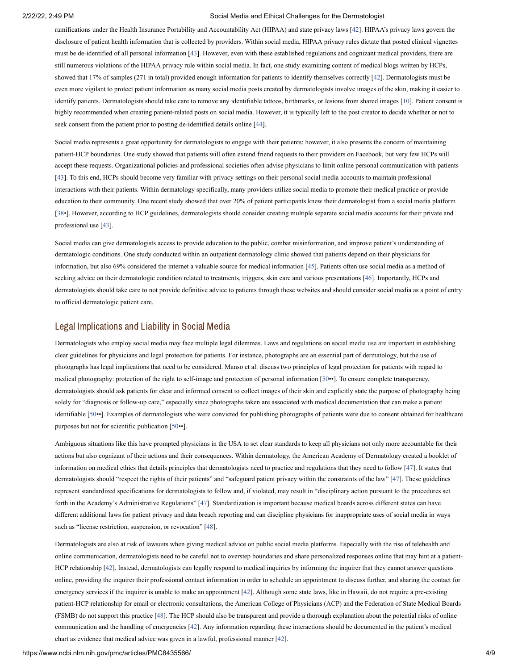ramifications under the Health Insurance Portability and Accountability Act (HIPAA) and state privacy laws [[42](#page-9-11)]. HIPAA's privacy laws govern the disclosure of patient health information that is collected by providers. Within social media, HIPAA privacy rules dictate that posted clinical vignettes must be de-identified of all personal information [\[43](#page-9-12)]. However, even with these established regulations and cognizant medical providers, there are still numerous violations of the HIPAA privacy rule within social media. In fact, one study examining content of medical blogs written by HCPs, showed that 17% of samples (271 in total) provided enough information for patients to identify themselves correctly [[42\]](#page-9-11). Dermatologists must be even more vigilant to protect patient information as many social media posts created by dermatologists involve images of the skin, making it easier to identify patients. Dermatologists should take care to remove any identifiable tattoos, birthmarks, or lesions from shared images [\[10](#page-7-9)]. Patient consent is highly recommended when creating patient-related posts on social media. However, it is typically left to the post creator to decide whether or not to seek consent from the patient prior to posting de-identified details online [\[44](#page-9-13)].

Social media represents a great opportunity for dermatologists to engage with their patients; however, it also presents the concern of maintaining patient-HCP boundaries. One study showed that patients will often extend friend requests to their providers on Facebook, but very few HCPs will accept these requests. Organizational policies and professional societies often advise physicians to limit online personal communication with patients [[43\]](#page-9-12). To this end, HCPs should become very familiar with privacy settings on their personal social media accounts to maintain professional interactions with their patients. Within dermatology specifically, many providers utilize social media to promote their medical practice or provide education to their community. One recent study showed that over 20% of patient participants knew their dermatologist from a social media platform [[38•](#page-9-7)]. However, according to HCP guidelines, dermatologists should consider creating multiple separate social media accounts for their private and professional use [\[43\]](#page-9-12).

Social media can give dermatologists access to provide education to the public, combat misinformation, and improve patient's understanding of dermatologic conditions. One study conducted within an outpatient dermatology clinic showed that patients depend on their physicians for information, but also 69% considered the internet a valuable source for medical information [[45\]](#page-9-14). Patients often use social media as a method of seeking advice on their dermatologic condition related to treatments, triggers, skin care and various presentations [[46](#page-9-15)]. Importantly, HCPs and dermatologists should take care to not provide definitive advice to patients through these websites and should consider social media as a point of entry to official dermatologic patient care.

### Legal Implications and Liability in Social Media

Dermatologists who employ social media may face multiple legal dilemmas. Laws and regulations on social media use are important in establishing clear guidelines for physicians and legal protection for patients. For instance, photographs are an essential part of dermatology, but the use of photographs has legal implications that need to be considered. Manso et al. discuss two principles of legal protection for patients with regard to medical photography: protection of the right to self-image and protection of personal information [[50•](#page-10-0)•]. To ensure complete transparency, dermatologists should ask patients for clear and informed consent to collect images of their skin and explicitly state the purpose of photography being solely for "diagnosis or follow-up care," especially since photographs taken are associated with medical documentation that can make a patient identifiable [\[50](#page-10-0)••]. Examples of dermatologists who were convicted for publishing photographs of patients were due to consent obtained for healthcare purposes but not for scientific publication [\[50](#page-10-0)••].

Ambiguous situations like this have prompted physicians in the USA to set clear standards to keep all physicians not only more accountable for their actions but also cognizant of their actions and their consequences. Within dermatology, the American Academy of Dermatology created a booklet of information on medical ethics that details principles that dermatologists need to practice and regulations that they need to follow [\[47\]](#page-9-16). It states that dermatologists should "respect the rights of their patients" and "safeguard patient privacy within the constraints of the law" [\[47](#page-9-16)]. These guidelines represent standardized specifications for dermatologists to follow and, if violated, may result in "disciplinary action pursuant to the procedures set forth in the Academy's Administrative Regulations" [[47\]](#page-9-16). Standardization is important because medical boards across different states can have different additional laws for patient privacy and data breach reporting and can discipline physicians for inappropriate uses of social media in ways such as "license restriction, suspension, or revocation" [\[48](#page-10-1)].

Dermatologists are also at risk of lawsuits when giving medical advice on public social media platforms. Especially with the rise of telehealth and online communication, dermatologists need to be careful not to overstep boundaries and share personalized responses online that may hint at a patient-HCP relationship [[42\]](#page-9-11). Instead, dermatologists can legally respond to medical inquiries by informing the inquirer that they cannot answer questions online, providing the inquirer their professional contact information in order to schedule an appointment to discuss further, and sharing the contact for emergency services if the inquirer is unable to make an appointment [[42\]](#page-9-11). Although some state laws, like in Hawaii, do not require a pre-existing patient-HCP relationship for email or electronic consultations, the American College of Physicians (ACP) and the Federation of State Medical Boards (FSMB) do not support this practice [\[48](#page-10-1)]. The HCP should also be transparent and provide a thorough explanation about the potential risks of online communication and the handling of emergencies [[42](#page-9-11)]. Any information regarding these interactions should be documented in the patient's medical chart as evidence that medical advice was given in a lawful, professional manner [\[42](#page-9-11)].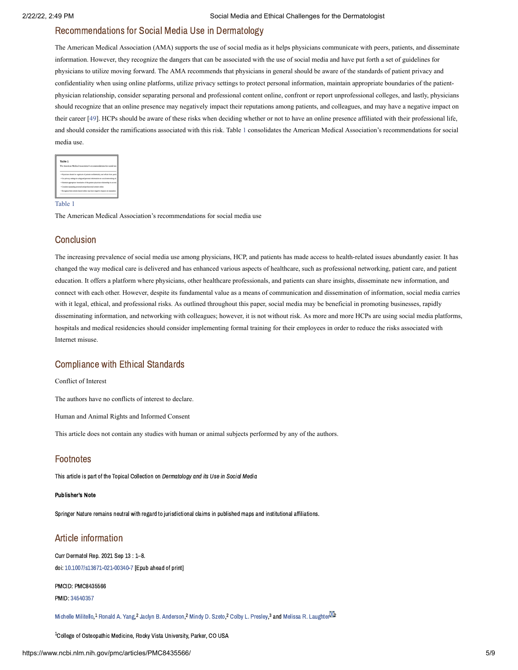### Recommendations for Social Media Use in Dermatology

The American Medical Association (AMA) supports the use of social media as it helps physicians communicate with peers, patients, and disseminate information. However, they recognize the dangers that can be associated with the use of social media and have put forth a set of guidelines for physicians to utilize moving forward. The AMA recommends that physicians in general should be aware of the standards of patient privacy and confidentiality when using online platforms, utilize privacy settings to protect personal information, maintain appropriate boundaries of the patientphysician relationship, consider separating personal and professional content online, confront or report unprofessional colleges, and lastly, physicians should recognize that an online presence may negatively impact their reputations among patients, and colleagues, and may have a negative impact on their career [[49\]](#page-10-2). HCPs should be aware of these risks when deciding whether or not to have an online presence affiliated with their professional life, and should consider the ramifications associated with this risk. [Table](https://www.ncbi.nlm.nih.gov/pmc/articles/PMC8435566/table/Tab1/?report=objectonly) 1 consolidates the American Medical Association's recommendations for social media use.

| Table 1                                                                             |  |
|-------------------------------------------------------------------------------------|--|
| The American Medical Association's recommendations for social me-                   |  |
|                                                                                     |  |
| · Physicians should be cognizant of patient confidentiality and refrain from posti- |  |
| · Use privacy settings to safeguard personal information on social networking cit   |  |
| · Maintain appropriate boundaries of the patient-obvoician relationship in accord-  |  |
| · Consider separating personal and professional content online                      |  |
| · Recognize that content shared online may have negative impacts on reputation      |  |

[Table](https://www.ncbi.nlm.nih.gov/pmc/articles/PMC8435566/table/Tab1/?report=objectonly) 1

The American Medical Association's recommendations for social media use

### **Conclusion**

The increasing prevalence of social media use among physicians, HCP, and patients has made access to health-related issues abundantly easier. It has changed the way medical care is delivered and has enhanced various aspects of healthcare, such as professional networking, patient care, and patient education. It offers a platform where physicians, other healthcare professionals, and patients can share insights, disseminate new information, and connect with each other. However, despite its fundamental value as a means of communication and dissemination of information, social media carries with it legal, ethical, and professional risks. As outlined throughout this paper, social media may be beneficial in promoting businesses, rapidly disseminating information, and networking with colleagues; however, it is not without risk. As more and more HCPs are using social media platforms, hospitals and medical residencies should consider implementing formal training for their employees in order to reduce the risks associated with Internet misuse.

### Compliance with Ethical Standards

Conflict of Interest

The authors have no conflicts of interest to declare.

Human and Animal Rights and Informed Consent

This article does not contain any studies with human or animal subjects performed by any of the authors.

### Footnotes

This article is part of the Topical Collection on Dermatology and its Use in Social Media

#### Publisher's Note

Springer Nature remains neutral with regard to jurisdictional claims in published maps and institutional affiliations.

### Article information

Curr Dermatol Rep. 2021 Sep 13 : 1–8. doi: [10.1007/s13671-021-00340-7](https://dx.doi.org/10.1007%2Fs13671-021-00340-7) [Epub ahead of print]

PMCID: PMC8435566 PMID: [34540357](https://www.ncbi.nlm.nih.gov/pubmed/34540357)

[Michelle](https://www.ncbi.nlm.nih.gov/pubmed/?term=Militello%20M%5BAuthor%5D&cauthor=true&cauthor_uid=34540357) Militello,<sup>1</sup> [Ronald](https://www.ncbi.nlm.nih.gov/pubmed/?term=Yang%20RA%5BAuthor%5D&cauthor=true&cauthor_uid=34540357) A. Yang,<sup>2</sup> Jaclyn B. [Anderson](https://www.ncbi.nlm.nih.gov/pubmed/?term=Anderson%20JB%5BAuthor%5D&cauthor=true&cauthor_uid=34540357),<sup>2</sup> [Mindy](https://www.ncbi.nlm.nih.gov/pubmed/?term=Szeto%20MD%5BAuthor%5D&cauthor=true&cauthor_uid=34540357) D. Szeto,<sup>2</sup> Colby L. [Presley](https://www.ncbi.nlm.nih.gov/pubmed/?term=Presley%20CL%5BAuthor%5D&cauthor=true&cauthor_uid=34540357),<sup>3</sup> and Melissa R. [Laughter](https://www.ncbi.nlm.nih.gov/pubmed/?term=Laughter%20MR%5BAuthor%5D&cauthor=true&cauthor_uid=34540357)<sup>02</sup>

 $^{\rm 1}$ College of Osteopathic Medicine, Rocky Vista University, Parker, CO USA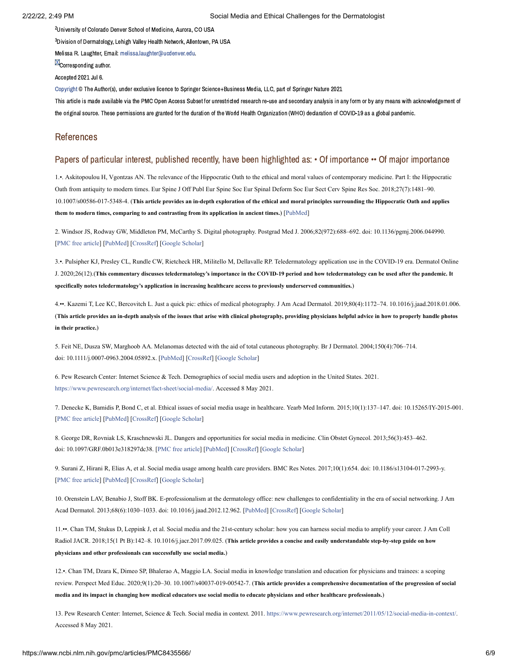<sup>2</sup>University of Colorado Denver School of Medicine, Aurora, CO USA

 $^3$ Division of Dermatology, Lehigh Valley Health Network, Allentown, PA USA

Melissa R. Laughter, Email: [melissa.laughter@ucdenver.edu.](mailto:dev@null)

**X**Corresponding author.

Accepted 2021 Jul 6.

[Copyright](https://www.ncbi.nlm.nih.gov/pmc/about/copyright/) © The Author(s), under exclusive licence to Springer Science+Business Media, LLC, part of Springer Nature 2021

This article is made available via the PMC Open Access Subset for unrestricted research re-use and secondary analysis in any form or by any means with acknowledgement of the original source. These permissions are granted for the duration of the World Health Organization (WHO) declaration of COVID-19 as a global pandemic.

### References

### Papers of particular interest, published recently, have been highlighted as: • Of importance •• Of major importance

<span id="page-7-0"></span>1.•. Askitopoulou H, Vgontzas AN. The relevance of the Hippocratic Oath to the ethical and moral values of contemporary medicine. Part I: the Hippocratic Oath from antiquity to modern times. Eur Spine J Off Publ Eur Spine Soc Eur Spinal Deform Soc Eur Sect Cerv Spine Res Soc. 2018;27(7):1481–90. 10.1007/s00586-017-5348-4. (**This article provides an in-depth exploration of the ethical and moral principles surrounding the Hippocratic Oath and applies them to modern times, comparing to and contrasting from its application in ancient times.**) [[PubMed\]](https://www.ncbi.nlm.nih.gov/pubmed/29080001)

<span id="page-7-1"></span>2. Windsor JS, Rodway GW, Middleton PM, McCarthy S. Digital photography. Postgrad Med J. 2006;82(972):688–692. doi: 10.1136/pgmj.2006.044990. [\[PMC free article\]](https://www.ncbi.nlm.nih.gov/pmc/articles/PMC2653915/?report=reader) [\[PubMed\]](https://www.ncbi.nlm.nih.gov/pubmed/17068281) [\[CrossRef](https://dx.doi.org/10.1136%2Fpgmj.2006.044990)] [[Google Scholar](https://scholar.google.com/scholar_lookup?journal=Postgrad+Med+J&title=Digital+photography&author=JS+Windsor&author=GW+Rodway&author=PM+Middleton&author=S+McCarthy&volume=82&issue=972&publication_year=2006&pages=688-692&pmid=17068281&doi=10.1136/pgmj.2006.044990&)]

<span id="page-7-2"></span>3.•. Pulsipher KJ, Presley CL, Rundle CW, Rietcheck HR, Militello M, Dellavalle RP. Teledermatology application use in the COVID-19 era. Dermatol Online J. 2020;26(12).(**This commentary discusses teledermatology's importance in the COVID-19 period and how teledermatology can be used after the pandemic. It specifically notes teledermatology's application in increasing healthcare access to previously underserved communities.**)

<span id="page-7-3"></span>4.••. Kazemi T, Lee KC, Bercovitch L. Just a quick pic: ethics of medical photography. J Am Acad Dermatol. 2019;80(4):1172–74. 10.1016/j.jaad.2018.01.006. (**This article provides an in-depth analysis of the issues that arise with clinical photography, providing physicians helpful advice in how to properly handle photos in their practice.**)

<span id="page-7-4"></span>5. Feit NE, Dusza SW, Marghoob AA. Melanomas detected with the aid of total cutaneous photography. Br J Dermatol. 2004;150(4):706–714. doi: 10.1111/j.0007-0963.2004.05892.x. [[PubMed\]](https://www.ncbi.nlm.nih.gov/pubmed/15099367) [\[CrossRef](https://dx.doi.org/10.1111%2Fj.0007-0963.2004.05892.x)] [\[Google Scholar\]](https://scholar.google.com/scholar_lookup?journal=Br+J+Dermatol&title=Melanomas+detected+with+the+aid+of+total+cutaneous+photography&author=NE+Feit&author=SW+Dusza&author=AA+Marghoob&volume=150&issue=4&publication_year=2004&pages=706-714&pmid=15099367&doi=10.1111/j.0007-0963.2004.05892.x&)

<span id="page-7-5"></span>6. Pew Research Center: Internet Science & Tech. Demographics of social media users and adoption in the United States. 2021. [https://www.pewresearch.org/internet/fact-sheet/social-media/.](https://www.pewresearch.org/internet/fact-sheet/social-media/) Accessed 8 May 2021.

<span id="page-7-6"></span>7. Denecke K, Bamidis P, Bond C, et al. Ethical issues of social media usage in healthcare. Yearb Med Inform. 2015;10(1):137–147. doi: 10.15265/IY-2015-001. [\[PMC free article\]](https://www.ncbi.nlm.nih.gov/pmc/articles/PMC4587037/?report=reader) [\[PubMed\]](https://www.ncbi.nlm.nih.gov/pubmed/26293861) [\[CrossRef](https://dx.doi.org/10.15265%2FIY-2015-001)] [[Google Scholar](https://scholar.google.com/scholar_lookup?journal=Yearb+Med+Inform&title=Ethical+issues+of+social+media+usage+in+healthcare&author=K+Denecke&author=P+Bamidis&author=C+Bond&volume=10&issue=1&publication_year=2015&pages=137-147&pmid=26293861&doi=10.15265/IY-2015-001&)]

<span id="page-7-7"></span>8. George DR, Rovniak LS, Kraschnewski JL. Dangers and opportunities for social media in medicine. Clin Obstet Gynecol. 2013;56(3):453–462. doi: 10.1097/GRF.0b013e318297dc38. [\[PMC free article](https://www.ncbi.nlm.nih.gov/pmc/articles/PMC3863578/?report=reader)] [\[PubMed](https://www.ncbi.nlm.nih.gov/pubmed/23903375)] [[CrossRef\]](https://dx.doi.org/10.1097%2FGRF.0b013e318297dc38) [\[Google Scholar](https://scholar.google.com/scholar_lookup?journal=Clin+Obstet+Gynecol&title=Dangers+and+opportunities+for+social+media+in+medicine&author=DR+George&author=LS+Rovniak&author=JL+Kraschnewski&volume=56&issue=3&publication_year=2013&pages=453-462&pmid=23903375&doi=10.1097/GRF.0b013e318297dc38&)]

<span id="page-7-8"></span>9. Surani Z, Hirani R, Elias A, et al. Social media usage among health care providers. BMC Res Notes. 2017;10(1):654. doi: 10.1186/s13104-017-2993-y. [\[PMC free article\]](https://www.ncbi.nlm.nih.gov/pmc/articles/PMC5708107/?report=reader) [\[PubMed\]](https://www.ncbi.nlm.nih.gov/pubmed/29187244) [\[CrossRef](https://dx.doi.org/10.1186%2Fs13104-017-2993-y)] [[Google Scholar](https://scholar.google.com/scholar_lookup?journal=BMC+Res+Notes&title=Social+media+usage+among+health+care+providers&author=Z+Surani&author=R+Hirani&author=A+Elias&volume=10&issue=1&publication_year=2017&pages=654&pmid=29187244&doi=10.1186/s13104-017-2993-y&)]

<span id="page-7-9"></span>10. Orenstein LAV, Benabio J, Stoff BK. E-professionalism at the dermatology office: new challenges to confidentiality in the era of social networking. J Am Acad Dermatol. 2013;68(6):1030–1033. doi: 10.1016/j.jaad.2012.12.962. [[PubMed\]](https://www.ncbi.nlm.nih.gov/pubmed/23680194) [\[CrossRef\]](https://dx.doi.org/10.1016%2Fj.jaad.2012.12.962) [[Google Scholar\]](https://scholar.google.com/scholar_lookup?journal=J+Am+Acad+Dermatol&title=E-professionalism+at+the+dermatology+office:+new+challenges+to+confidentiality+in+the+era+of+social+networking&author=LAV+Orenstein&author=J+Benabio&author=BK+Stoff&volume=68&issue=6&publication_year=2013&pages=1030-1033&pmid=23680194&doi=10.1016/j.jaad.2012.12.962&)

<span id="page-7-10"></span>11.••. Chan TM, Stukus D, Leppink J, et al. Social media and the 21st-century scholar: how you can harness social media to amplify your career. J Am Coll Radiol JACR. 2018;15(1 Pt B):142–8. 10.1016/j.jacr.2017.09.025. (**This article provides a concise and easily understandable step-by-step guide on how physicians and other professionals can successfully use social media.**)

<span id="page-7-11"></span>12.•. Chan TM, Dzara K, Dimeo SP, Bhalerao A, Maggio LA. Social media in knowledge translation and education for physicians and trainees: a scoping review. Perspect Med Educ. 2020;9(1):20–30. 10.1007/s40037-019-00542-7. (**This article provides a comprehensive documentation of the progression of social media and its impact in changing how medical educators use social media to educate physicians and other healthcare professionals.**)

<span id="page-7-12"></span>13. Pew Research Center: Internet, Science & Tech. Social media in context. 2011. [https://www.pewresearch.org/internet/2011/05/12/social-media-in-context/.](https://www.pewresearch.org/internet/2011/05/12/social-media-in-context/) Accessed 8 May 2021.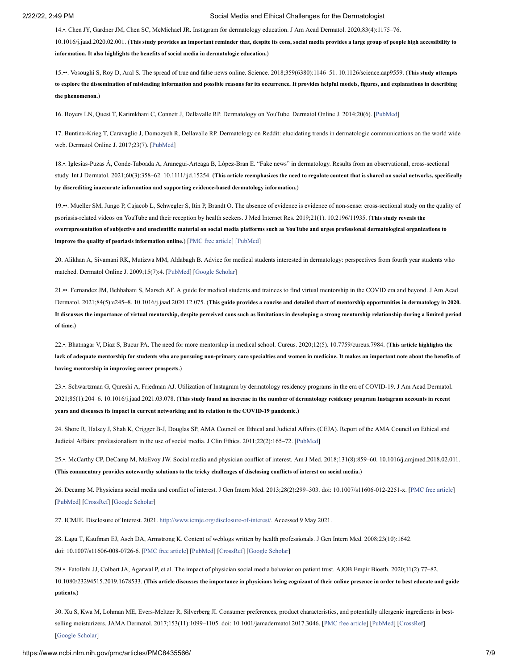<span id="page-8-0"></span>14.•. Chen JY, Gardner JM, Chen SC, McMichael JR. Instagram for dermatology education. J Am Acad Dermatol. 2020;83(4):1175–76.

10.1016/j.jaad.2020.02.001. (**This study provides an important reminder that, despite its cons, social media provides a large group of people high accessibility to information. It also highlights the benefits of social media in dermatologic education.**)

<span id="page-8-1"></span>15.••. Vosoughi S, Roy D, Aral S. The spread of true and false news online. Science. 2018;359(6380):1146–51. 10.1126/science.aap9559. (**This study attempts to explore the dissemination of misleading information and possible reasons for its occurrence. It provides helpful models, figures, and explanations in describing the phenomenon.**)

<span id="page-8-2"></span>16. Boyers LN, Quest T, Karimkhani C, Connett J, Dellavalle RP. Dermatology on YouTube. Dermatol Online J. 2014;20(6). [\[PubMed\]](https://www.ncbi.nlm.nih.gov/pubmed/24945641)

<span id="page-8-3"></span>17. Buntinx-Krieg T, Caravaglio J, Domozych R, Dellavalle RP. Dermatology on Reddit: elucidating trends in dermatologic communications on the world wide web. Dermatol Online J. 2017;23(7). [[PubMed](https://www.ncbi.nlm.nih.gov/pubmed/29469693)]

<span id="page-8-4"></span>18.•. Iglesias‐Puzas Á, Conde‐Taboada A, Aranegui‐Arteaga B, López‐Bran E. "Fake news" in dermatology. Results from an observational, cross-sectional study. Int J Dermatol. 2021;60(3):358–62. 10.1111/ijd.15254. (**This article reemphasizes the need to regulate content that is shared on social networks, specifically by discrediting inaccurate information and supporting evidence-based dermatology information.**)

<span id="page-8-5"></span>19.••. Mueller SM, Jungo P, Cajacob L, Schwegler S, Itin P, Brandt O. The absence of evidence is evidence of non-sense: cross-sectional study on the quality of psoriasis-related videos on YouTube and their reception by health seekers. J Med Internet Res. 2019;21(1). 10.2196/11935. (**This study reveals the overrepresentation of subjective and unscientific material on social media platforms such as YouTube and urges professional dermatological organizations to improve the quality of psoriasis information online.**) [[PMC free article\]](https://www.ncbi.nlm.nih.gov/pmc/articles/PMC6357908/?report=reader) [[PubMed](https://www.ncbi.nlm.nih.gov/pubmed/30664460)]

<span id="page-8-6"></span>20. Alikhan A, Sivamani RK, Mutizwa MM, Aldabagh B. Advice for medical students interested in dermatology: perspectives from fourth year students who matched. Dermatol Online J. 2009;15(7):4. [\[PubMed](https://www.ncbi.nlm.nih.gov/pubmed/19903432)] [[Google Scholar\]](https://scholar.google.com/scholar_lookup?journal=Dermatol+Online+J&title=Advice+for+medical+students+interested+in+dermatology:+perspectives+from+fourth+year+students+who+matched&author=A+Alikhan&author=RK+Sivamani&author=MM+Mutizwa&author=B+Aldabagh&volume=15&issue=7&publication_year=2009&pages=4&pmid=19903432&)

<span id="page-8-7"></span>21.••. Fernandez JM, Behbahani S, Marsch AF. A guide for medical students and trainees to find virtual mentorship in the COVID era and beyond. J Am Acad Dermatol. 2021;84(5):e245–8. 10.1016/j.jaad.2020.12.075. (**This guide provides a concise and detailed chart of mentorship opportunities in dermatology in 2020. It discusses the importance of virtual mentorship, despite perceived cons such as limitations in developing a strong mentorship relationship during a limited period of time.**)

<span id="page-8-8"></span>22.•. Bhatnagar V, Diaz S, Bucur PA. The need for more mentorship in medical school. Cureus. 2020;12(5). 10.7759/cureus.7984. (**This article highlights the lack of adequate mentorship for students who are pursuing non-primary care specialties and women in medicine. It makes an important note about the benefits of having mentorship in improving career prospects.**)

<span id="page-8-9"></span>23.•. Schwartzman G, Qureshi A, Friedman AJ. Utilization of Instagram by dermatology residency programs in the era of COVID-19. J Am Acad Dermatol. 2021;85(1):204–6. 10.1016/j.jaad.2021.03.078. (**This study found an increase in the number of dermatology residency program Instagram accounts in recent years and discusses its impact in current networking and its relation to the COVID-19 pandemic.**)

<span id="page-8-10"></span>24. Shore R, Halsey J, Shah K, Crigger B-J, Douglas SP, AMA Council on Ethical and Judicial Affairs (CEJA). Report of the AMA Council on Ethical and Judicial Affairs: professionalism in the use of social media. J Clin Ethics. 2011;22(2):165–72. [[PubMed](https://www.ncbi.nlm.nih.gov/pubmed/21837888)]

<span id="page-8-11"></span>25.•. McCarthy CP, DeCamp M, McEvoy JW. Social media and physician conflict of interest. Am J Med. 2018;131(8):859–60. 10.1016/j.amjmed.2018.02.011. (**This commentary provides noteworthy solutions to the tricky challenges of disclosing conflicts of interest on social media.**)

<span id="page-8-12"></span>26. Decamp M. Physicians social media and conflict of interest. J Gen Intern Med. 2013;28(2):299–303. doi: 10.1007/s11606-012-2251-x. [[PMC free article](https://www.ncbi.nlm.nih.gov/pmc/articles/PMC3614128/?report=reader)] [\[PubMed\]](https://www.ncbi.nlm.nih.gov/pubmed/23129160) [[CrossRef\]](https://dx.doi.org/10.1007%2Fs11606-012-2251-x) [[Google Scholar](https://scholar.google.com/scholar_lookup?journal=J+Gen+Intern+Med&title=Physicians+social+media+and+conflict+of+interest&author=M+Decamp&volume=28&issue=2&publication_year=2013&pages=299-303&pmid=23129160&doi=10.1007/s11606-012-2251-x&)]

<span id="page-8-13"></span>27. ICMJE. Disclosure of Interest. 2021. [http://www.icmje.org/disclosure-of-interest/.](http://www.icmje.org/disclosure-of-interest/) Accessed 9 May 2021.

<span id="page-8-14"></span>28. Lagu T, Kaufman EJ, Asch DA, Armstrong K. Content of weblogs written by health professionals. J Gen Intern Med. 2008;23(10):1642. doi: 10.1007/s11606-008-0726-6. [\[PMC free article](https://www.ncbi.nlm.nih.gov/pmc/articles/PMC2533366/?report=reader)] [[PubMed](https://www.ncbi.nlm.nih.gov/pubmed/18649110)] [\[CrossRef](https://dx.doi.org/10.1007%2Fs11606-008-0726-6)] [\[Google Scholar\]](https://scholar.google.com/scholar_lookup?journal=J+Gen+Intern+Med&title=Content+of+weblogs+written+by+health+professionals&author=T+Lagu&author=EJ+Kaufman&author=DA+Asch&author=K+Armstrong&volume=23&issue=10&publication_year=2008&pages=1642&pmid=18649110&doi=10.1007/s11606-008-0726-6&)

<span id="page-8-15"></span>29.•. Fatollahi JJ, Colbert JA, Agarwal P, et al. The impact of physician social media behavior on patient trust. AJOB Empir Bioeth. 2020;11(2):77–82. 10.1080/23294515.2019.1678533. (**This article discusses the importance in physicians being cognizant of their online presence in order to best educate and guide patients.**)

<span id="page-8-16"></span>30. Xu S, Kwa M, Lohman ME, Evers-Meltzer R, Silverberg JI. Consumer preferences, product characteristics, and potentially allergenic ingredients in bestselling moisturizers. JAMA Dermatol. 2017;153(11):1099–1105. doi: 10.1001/jamadermatol.2017.3046. [\[PMC free article](https://www.ncbi.nlm.nih.gov/pmc/articles/PMC5710429/?report=reader)] [[PubMed\]](https://www.ncbi.nlm.nih.gov/pubmed/28877310) [\[CrossRef](https://dx.doi.org/10.1001%2Fjamadermatol.2017.3046)] [\[Google Scholar](https://scholar.google.com/scholar_lookup?journal=JAMA+Dermatol&title=Consumer+preferences,+product+characteristics,+and+potentially+allergenic+ingredients+in+best-selling+moisturizers&author=S+Xu&author=M+Kwa&author=ME+Lohman&author=R+Evers-Meltzer&author=JI+Silverberg&volume=153&issue=11&publication_year=2017&pages=1099-1105&pmid=28877310&doi=10.1001/jamadermatol.2017.3046&)]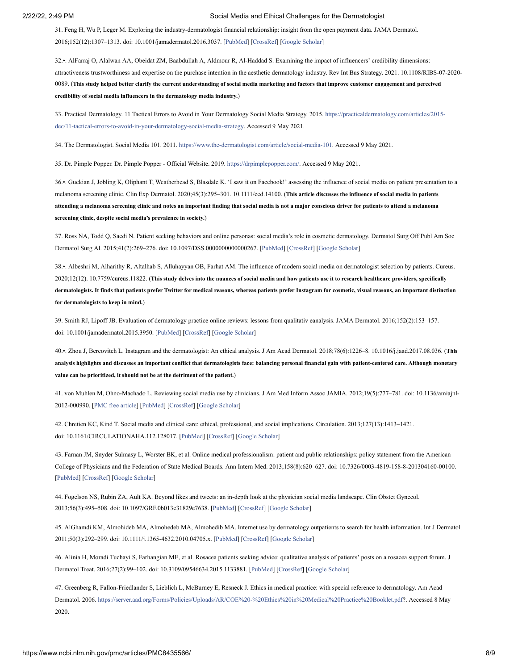<span id="page-9-0"></span>31. Feng H, Wu P, Leger M. Exploring the industry-dermatologist financial relationship: insight from the open payment data. JAMA Dermatol. 2016;152(12):1307–1313. doi: 10.1001/jamadermatol.2016.3037. [[PubMed](https://www.ncbi.nlm.nih.gov/pubmed/27706478)] [[CrossRef\]](https://dx.doi.org/10.1001%2Fjamadermatol.2016.3037) [[Google Scholar\]](https://scholar.google.com/scholar_lookup?journal=JAMA+Dermatol&title=Exploring+the+industry-dermatologist+financial+relationship:+insight+from+the+open+payment+data&author=H+Feng&author=P+Wu&author=M+Leger&volume=152&issue=12&publication_year=2016&pages=1307-1313&pmid=27706478&doi=10.1001/jamadermatol.2016.3037&)

<span id="page-9-1"></span>32.•. AlFarraj O, Alalwan AA, Obeidat ZM, Baabdullah A, Aldmour R, Al-Haddad S. Examining the impact of influencers' credibility dimensions: attractiveness trustworthiness and expertise on the purchase intention in the aesthetic dermatology industry. Rev Int Bus Strategy. 2021. 10.1108/RIBS-07-2020- 0089. (**This study helped better clarify the current understanding of social media marketing and factors that improve customer engagement and perceived credibility of social media influencers in the dermatology media industry.**)

<span id="page-9-2"></span>[33. Practical Dermatology. 11 Tactical Errors to Avoid in Your Dermatology Social Media Strategy. 2015. https://practicaldermatology.com/articles/2015](https://practicaldermatology.com/articles/2015-dec/11-tactical-errors-to-avoid-in-your-dermatology-social-media-strategy?report=reader) dec/11-tactical-errors-to-avoid-in-your-dermatology-social-media-strategy. Accessed 9 May 2021.

<span id="page-9-3"></span>34. The Dermatologist. Social Media 101. 2011. [https://www.the-dermatologist.com/article/social-media-101.](https://www.the-dermatologist.com/article/social-media-101) Accessed 9 May 2021.

<span id="page-9-4"></span>35. Dr. Pimple Popper. Dr. Pimple Popper - Official Website. 2019. [https://drpimplepopper.com/.](https://drpimplepopper.com/) Accessed 9 May 2021.

<span id="page-9-5"></span>36.•. Guckian J, Jobling K, Oliphant T, Weatherhead S, Blasdale K. 'I saw it on Facebook!' assessing the influence of social media on patient presentation to a melanoma screening clinic. Clin Exp Dermatol. 2020;45(3):295–301. 10.1111/ced.14100. (**This article discusses the influence of social media in patients attending a melanoma screening clinic and notes an important finding that social media is not a major conscious driver for patients to attend a melanoma screening clinic, despite social media's prevalence in society.**)

<span id="page-9-6"></span>37. Ross NA, Todd Q, Saedi N. Patient seeking behaviors and online personas: social media's role in cosmetic dermatology. Dermatol Surg Off Publ Am Soc Dermatol Surg Al. 2015;41(2):269–276. doi: 10.1097/DSS.0000000000000267. [[PubMed](https://www.ncbi.nlm.nih.gov/pubmed/25654198)] [[CrossRef\]](https://dx.doi.org/10.1097%2FDSS.0000000000000267) [[Google Scholar\]](https://scholar.google.com/scholar_lookup?journal=Dermatol+Surg+Off+Publ+Am+Soc+Dermatol+Surg+Al&title=Patient+seeking+behaviors+and+online+personas:+social+media%E2%80%99s+role+in+cosmetic+dermatology&author=NA+Ross&author=Q+Todd&author=N+Saedi&volume=41&issue=2&publication_year=2015&pages=269-276&doi=10.1097/DSS.0000000000000267&)

<span id="page-9-7"></span>38.•. Albeshri M, Alharithy R, Altalhab S, Alluhayyan OB, Farhat AM. The influence of modern social media on dermatologist selection by patients. Cureus. 2020;12(12). 10.7759/cureus.11822. (**This study delves into the nuances of social media and how patients use it to research healthcare providers, specifically dermatologists. It finds that patients prefer Twitter for medical reasons, whereas patients prefer Instagram for cosmetic, visual reasons, an important distinction for dermatologists to keep in mind.**)

<span id="page-9-8"></span>39. Smith RJ, Lipoff JB. Evaluation of dermatology practice online reviews: lessons from qualitativ eanalysis. JAMA Dermatol. 2016;152(2):153–157. doi: 10.1001/jamadermatol.2015.3950. [\[PubMed\]](https://www.ncbi.nlm.nih.gov/pubmed/26606326) [[CrossRef](https://dx.doi.org/10.1001%2Fjamadermatol.2015.3950)] [\[Google Scholar](https://scholar.google.com/scholar_lookup?journal=JAMA+Dermatol&title=Evaluation+of+dermatology+practice+online+reviews:+lessons+from+qualitativ+eanalysis&author=RJ+Smith&author=JB+Lipoff&volume=152&issue=2&publication_year=2016&pages=153-157&pmid=26606326&doi=10.1001/jamadermatol.2015.3950&)]

<span id="page-9-9"></span>40.•. Zhou J, Bercovitch L. Instagram and the dermatologist: An ethical analysis. J Am Acad Dermatol. 2018;78(6):1226–8. 10.1016/j.jaad.2017.08.036. (**This analysis highlights and discusses an important conflict that dermatologists face: balancing personal financial gain with patient-centered care. Although monetary value can be prioritized, it should not be at the detriment of the patient.**)

<span id="page-9-10"></span>41. von Muhlen M, Ohno-Machado L. Reviewing social media use by clinicians. J Am Med Inform Assoc JAMIA. 2012;19(5):777–781. doi: 10.1136/amiajnl-2012-000990. [[PMC free article](https://www.ncbi.nlm.nih.gov/pmc/articles/PMC3422846/?report=reader)] [\[PubMed](https://www.ncbi.nlm.nih.gov/pubmed/22759618)] [[CrossRef](https://dx.doi.org/10.1136%2Famiajnl-2012-000990)] [\[Google Scholar](https://scholar.google.com/scholar_lookup?journal=J+Am+Med+Inform+Assoc+JAMIA&title=Reviewing+social+media+use+by+clinicians&author=M+von+Muhlen&author=L+Ohno-Machado&volume=19&issue=5&publication_year=2012&pages=777-781&pmid=22759618&doi=10.1136/amiajnl-2012-000990&)]

<span id="page-9-11"></span>42. Chretien KC, Kind T. Social media and clinical care: ethical, professional, and social implications. Circulation. 2013;127(13):1413–1421. doi: 10.1161/CIRCULATIONAHA.112.128017. [\[PubMed\]](https://www.ncbi.nlm.nih.gov/pubmed/23547180) [\[CrossRef\]](https://dx.doi.org/10.1161%2FCIRCULATIONAHA.112.128017) [[Google Scholar](https://scholar.google.com/scholar_lookup?journal=Circulation&title=Social+media+and+clinical+care:+ethical,+professional,+and+social+implications&author=KC+Chretien&author=T+Kind&volume=127&issue=13&publication_year=2013&pages=1413-1421&pmid=23547180&doi=10.1161/CIRCULATIONAHA.112.128017&)]

<span id="page-9-12"></span>43. Farnan JM, Snyder Sulmasy L, Worster BK, et al. Online medical professionalism: patient and public relationships: policy statement from the American College of Physicians and the Federation of State Medical Boards. Ann Intern Med. 2013;158(8):620–627. doi: 10.7326/0003-4819-158-8-201304160-00100. [\[PubMed\]](https://www.ncbi.nlm.nih.gov/pubmed/23579867) [[CrossRef\]](https://dx.doi.org/10.7326%2F0003-4819-158-8-201304160-00100) [[Google Scholar](https://scholar.google.com/scholar_lookup?journal=Ann+Intern+Med&title=Online+medical+professionalism:+patient+and+public+relationships:+policy+statement+from+the+American+College+of+Physicians+and+the+Federation+of+State+Medical+Boards&author=JM+Farnan&author=L+Snyder+Sulmasy&author=BK+Worster&volume=158&issue=8&publication_year=2013&pages=620-627&pmid=23579867&doi=10.7326/0003-4819-158-8-201304160-00100&)]

<span id="page-9-13"></span>44. Fogelson NS, Rubin ZA, Ault KA. Beyond likes and tweets: an in-depth look at the physician social media landscape. Clin Obstet Gynecol. 2013;56(3):495–508. doi: 10.1097/GRF.0b013e31829e7638. [[PubMed](https://www.ncbi.nlm.nih.gov/pubmed/23835911)] [[CrossRef\]](https://dx.doi.org/10.1097%2FGRF.0b013e31829e7638) [\[Google Scholar\]](https://scholar.google.com/scholar_lookup?journal=Clin+Obstet+Gynecol&title=Beyond+likes+and+tweets:+an+in-depth+look+at+the+physician+social+media+landscape&author=NS+Fogelson&author=ZA+Rubin&author=KA+Ault&volume=56&issue=3&publication_year=2013&pages=495-508&pmid=23835911&doi=10.1097/GRF.0b013e31829e7638&)

<span id="page-9-14"></span>45. AlGhamdi KM, Almohideb MA, Almohedeb MA, Almohedib MA. Internet use by dermatology outpatients to search for health information. Int J Dermatol. 2011;50(3):292–299. doi: 10.1111/j.1365-4632.2010.04705.x. [[PubMed](https://www.ncbi.nlm.nih.gov/pubmed/21342162)] [[CrossRef\]](https://dx.doi.org/10.1111%2Fj.1365-4632.2010.04705.x) [\[Google Scholar](https://scholar.google.com/scholar_lookup?journal=Int+J+Dermatol&title=Internet+use+by+dermatology+outpatients+to+search+for+health+information&author=KM+AlGhamdi&author=MA+Almohideb&author=MA+Almohedeb&author=MA+Almohedib&volume=50&issue=3&publication_year=2011&pages=292-299&pmid=21342162&doi=10.1111/j.1365-4632.2010.04705.x&)]

<span id="page-9-15"></span>46. Alinia H, Moradi Tuchayi S, Farhangian ME, et al. Rosacea patients seeking advice: qualitative analysis of patients' posts on a rosacea support forum. J Dermatol Treat. 2016;27(2):99–102. doi: 10.3109/09546634.2015.1133881. [\[PubMed](https://www.ncbi.nlm.nih.gov/pubmed/26815357)] [[CrossRef\]](https://dx.doi.org/10.3109%2F09546634.2015.1133881) [\[Google Scholar](https://scholar.google.com/scholar_lookup?journal=J+Dermatol+Treat&title=Rosacea+patients+seeking+advice:+qualitative+analysis+of+patients%E2%80%99+posts+on+a+rosacea+support+forum&author=H+Alinia&author=S+Moradi+Tuchayi&author=ME+Farhangian&volume=27&issue=2&publication_year=2016&pages=99-102&doi=10.3109/09546634.2015.1133881&)]

<span id="page-9-16"></span>47. Greenberg R, Fallon-Friedlander S, Lieblich L, McBurney E, Resneck J. Ethics in medical practice: with special reference to dermatology. Am Acad Dermatol. 2006. <https://server.aad.org/Forms/Policies/Uploads/AR/COE%20-%20Ethics%20in%20Medical%20Practice%20Booklet.pdf>?. Accessed 8 May 2020.